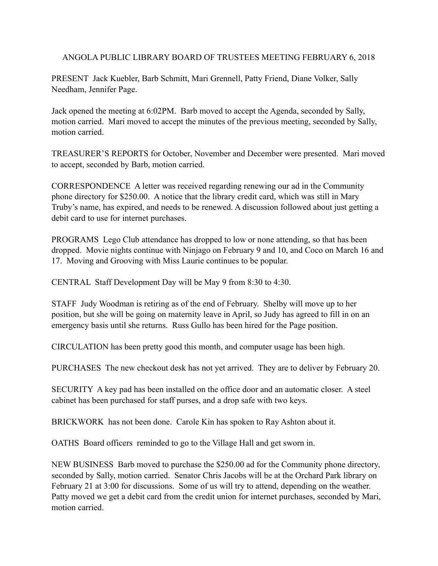ANGOLA PUBLIC LIBRARY BOARD OF TRUSTEES MEETING FEBRUARY 6, 2018

PRESENT Jack Kuebler, Barb Schmitt, Mari Grennell, Patty Friend, Diane Volker, Sally Needham, Jennifer Page.

Jack opened the meeting at 6:02PM. Barb moved to accept the Agenda, seconded by Sally, motion carried. Mari moved to accept the minutes of the previous meeting, seconded by Sally, motion carried.

TREASURER'S REPORTS for October, November and December were presented. Mari moved to accept, seconded by Barb, motion carried.

CORRESPONDENCE A letter was received regarding renewing our ad in the Community phone directory for \$250.00. A notice that the library credit card, which was still in Mary Truby's name, has expired, and needs to be renewed. A discussion followed about just getting a debit card to use for internet purchases.

PROGRAMS Lego Club attendance has dropped to low or none attending, so that has been dropped. Movie nights continue with Ninjago on February 9 and 10, and Coco on March 16 and 17. Moving and Grooving with Miss Laurie continues to be popular.

CENTRAL Staff Development Day will be May 9 from 8:30 to 4:30.

STAFF Judy Woodman is retiring as of the end of February. Shelby will move up to her position, but she will be going on maternity leave in April, so Judy has agreed to fill in on an emergency basis until she returns. Russ Gullo has been hired for the Page position.

CIRCULATION has been pretty good this month, and computer usage has been high.

PURCHASES The new checkout desk has not yet arrived. They are to deliver by February 20.

SECURITY A key pad has been installed on the office door and an automatic closer. A steel cabinet has been purchased for staff purses, and a drop safe with two keys.

BRICKWORK has not been done. Carole Kin has spoken to Ray Ashton about it.

OATHS Board officers reminded to go to the Village Hall and get sworn in.

NEW BUSINESS Barb moved to purchase the \$250.00 ad for the Community phone directory, seconded by Sally, motion carried. Senator Chris Jacobs will be at the Orchard Park library on February 21 at 3:00 for discussions. Some of us will try to attend, depending on the weather. Patty moved we get a debit card from the credit union for internet purchases, seconded by Mari, motion carried.